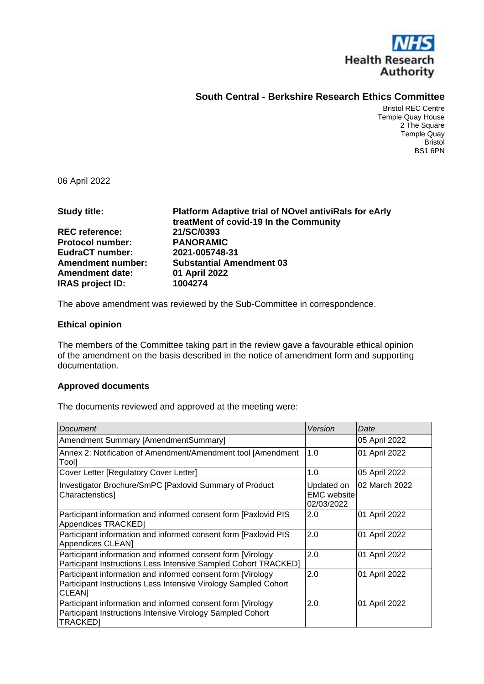

## **South Central - Berkshire Research Ethics Committee**

Bristol REC Centre Temple Quay House 2 The Square Temple Quay Bristol BS1 6PN

06 April 2022

| <b>Study title:</b>      | <b>Platform Adaptive trial of NOvel antiviRals for eArly</b><br>treatMent of covid-19 In the Community |
|--------------------------|--------------------------------------------------------------------------------------------------------|
| <b>REC reference:</b>    | 21/SC/0393                                                                                             |
| <b>Protocol number:</b>  | <b>PANORAMIC</b>                                                                                       |
| EudraCT number:          | 2021-005748-31                                                                                         |
| <b>Amendment number:</b> | <b>Substantial Amendment 03</b>                                                                        |
| <b>Amendment date:</b>   | 01 April 2022                                                                                          |
| <b>IRAS project ID:</b>  | 1004274                                                                                                |

The above amendment was reviewed by the Sub-Committee in correspondence.

#### **Ethical opinion**

The members of the Committee taking part in the review gave a favourable ethical opinion of the amendment on the basis described in the notice of amendment form and supporting documentation.

### **Approved documents**

The documents reviewed and approved at the meeting were:

| Document                                                                                                                                       | Version                                        | Date          |
|------------------------------------------------------------------------------------------------------------------------------------------------|------------------------------------------------|---------------|
| Amendment Summary [AmendmentSummary]                                                                                                           |                                                | 05 April 2022 |
| Annex 2: Notification of Amendment/Amendment tool [Amendment]<br>Tool]                                                                         | 1.0                                            | 01 April 2022 |
| Cover Letter [Regulatory Cover Letter]                                                                                                         | 1.0                                            | 05 April 2022 |
| Investigator Brochure/SmPC [Paxlovid Summary of Product<br>Characteristics]                                                                    | Updated on<br><b>EMC</b> website<br>02/03/2022 | 02 March 2022 |
| Participant information and informed consent form [Paxlovid PIS<br>Appendices TRACKED]                                                         | 2.0                                            | 01 April 2022 |
| Participant information and informed consent form [Paxlovid PIS<br>Appendices CLEAN]                                                           | 2.0                                            | 01 April 2022 |
| Participant information and informed consent form [Virology]<br>Participant Instructions Less Intensive Sampled Cohort TRACKED]                | 2.0                                            | 01 April 2022 |
| Participant information and informed consent form [Virology<br>Participant Instructions Less Intensive Virology Sampled Cohort<br><b>CLEAN</b> | 2.0                                            | 01 April 2022 |
| Participant information and informed consent form [Virology]<br>Participant Instructions Intensive Virology Sampled Cohort<br><b>TRACKED]</b>  | 2.0                                            | 01 April 2022 |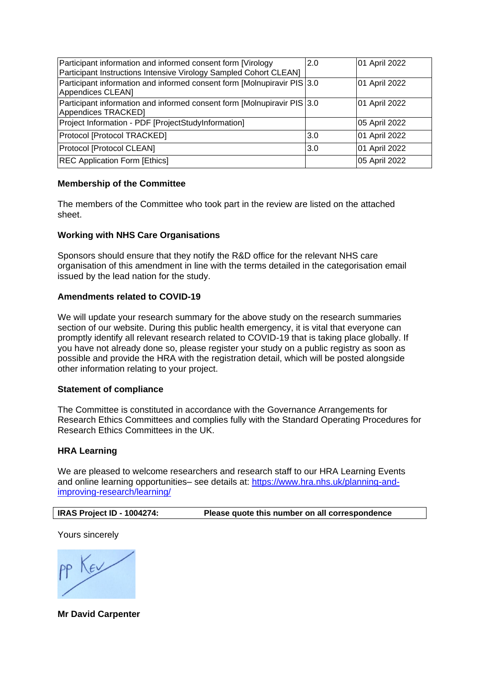| Participant information and informed consent form [Virology<br>Participant Instructions Intensive Virology Sampled Cohort CLEAN] | 2.0 | 01 April 2022 |
|----------------------------------------------------------------------------------------------------------------------------------|-----|---------------|
| Participant information and informed consent form [Molnupiravir PIS 3.0]<br>Appendices CLEAN]                                    |     | 01 April 2022 |
| Participant information and informed consent form [Molnupiravir PIS 3.0<br>Appendices TRACKED]                                   |     | 01 April 2022 |
| Project Information - PDF [ProjectStudyInformation]                                                                              |     | 05 April 2022 |
| Protocol [Protocol TRACKED]                                                                                                      | 3.0 | 01 April 2022 |
| Protocol [Protocol CLEAN]                                                                                                        | 3.0 | 01 April 2022 |
| <b>REC Application Form [Ethics]</b>                                                                                             |     | 05 April 2022 |

### **Membership of the Committee**

The members of the Committee who took part in the review are listed on the attached sheet.

### **Working with NHS Care Organisations**

Sponsors should ensure that they notify the R&D office for the relevant NHS care organisation of this amendment in line with the terms detailed in the categorisation email issued by the lead nation for the study.

#### **Amendments related to COVID-19**

We will update your research summary for the above study on the research summaries section of our website. During this public health emergency, it is vital that everyone can promptly identify all relevant research related to COVID-19 that is taking place globally. If you have not already done so, please register your study on a public registry as soon as possible and provide the HRA with the registration detail, which will be posted alongside other information relating to your project.

#### **Statement of compliance**

The Committee is constituted in accordance with the Governance Arrangements for Research Ethics Committees and complies fully with the Standard Operating Procedures for Research Ethics Committees in the UK.

### **HRA Learning**

We are pleased to welcome researchers and research staff to our HRA Learning Events and online learning opportunities– see details at: [https://www.hra.nhs.uk/planning-and](https://www.hra.nhs.uk/planning-and-improving-research/learning/)[improving-research/learning/](https://www.hra.nhs.uk/planning-and-improving-research/learning/)

| IRAS Project ID - 1004274: | Please quote this number on all correspondence |
|----------------------------|------------------------------------------------|
|                            |                                                |

Yours sincerely

**Mr David Carpenter**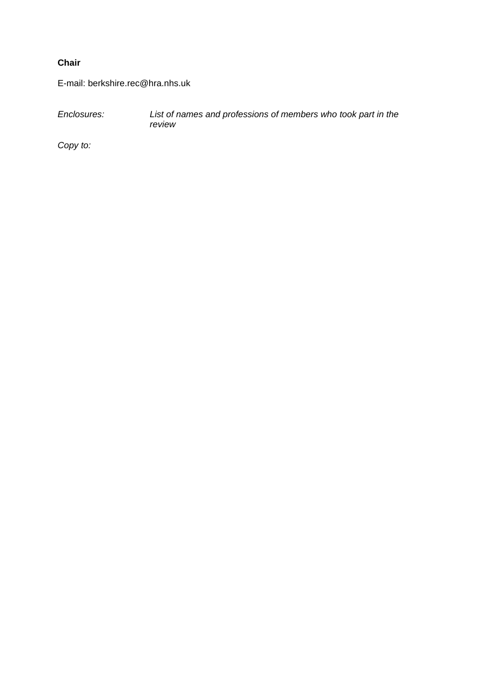## **Chair**

E-mail: berkshire.rec@hra.nhs.uk

*Enclosures: List of names and professions of members who took part in the review*

*Copy to:*